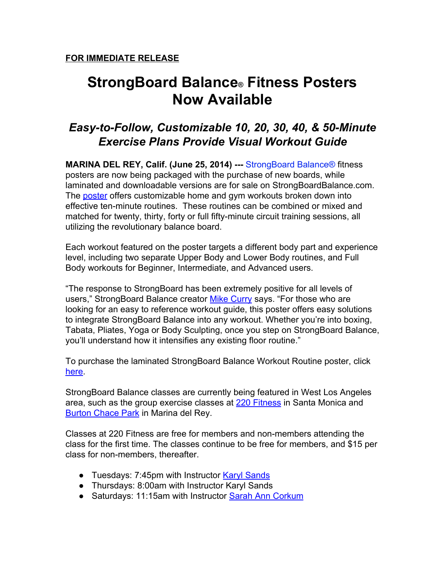## **StrongBoard Balance® Fitness Posters Now Available**

## *EasytoFollow, Customizable 10, 20, 30, 40, & 50Minute Exercise Plans Provide Visual Workout Guide*

**MARINA DEL REY, Calif. (June 25, 2014) --- [StrongBoard](http://www.google.com/url?q=http%3A%2F%2Fwww.strongboardbalance.com%2F&sa=D&sntz=1&usg=AFQjCNHgvKtHVQp0rhhEEZr2b7WzBs-wtQ) Balance® fitness** posters are now being packaged with the purchase of new boards, while laminated and downloadable versions are for sale on StrongBoardBalance.com. The [poster](http://www.google.com/url?q=http%3A%2F%2Fstrongboardbalance.com%2Fproduct%2Fcustomize-your-workout-poster%2F&sa=D&sntz=1&usg=AFQjCNHbY5gSPZL2fDufXYi1QvR_rCoMgA) offers customizable home and gym workouts broken down into effective ten-minute routines. These routines can be combined or mixed and matched for twenty, thirty, forty or full fifty-minute circuit training sessions, all utilizing the revolutionary balance board.

Each workout featured on the poster targets a different body part and experience level, including two separate Upper Body and Lower Body routines, and Full Body workouts for Beginner, Intermediate, and Advanced users.

"The response to StrongBoard has been extremely positive for all levels of users," StrongBoard Balance creator Mike [Curry](mailto:mike@strongholdfitness.com) says. "For those who are looking for an easy to reference workout guide, this poster offers easy solutions to integrate StrongBoard Balance into any workout. Whether you're into boxing, Tabata, Pliates, Yoga or Body Sculpting, once you step on StrongBoard Balance, you'll understand how it intensifies any existing floor routine."

To purchase the laminated StrongBoard Balance Workout Routine poster, click [here.](http://www.google.com/url?q=http%3A%2F%2Fstrongboardbalance.com%2Fproduct%2Fcustomize-your-workout-poster%2F&sa=D&sntz=1&usg=AFQjCNHbY5gSPZL2fDufXYi1QvR_rCoMgA)

StrongBoard Balance classes are currently being featured in West Los Angeles area, such as the group exercise classes at 220 [Fitness](http://www.google.com/url?q=http%3A%2F%2Fwww.220fitness.com&sa=D&sntz=1&usg=AFQjCNE0_96qYchjtGOIWGfaBfRA-gI01A) in Santa Monica and [Burton](http://www.google.com/url?q=http%3A%2F%2Fchacepark.com&sa=D&sntz=1&usg=AFQjCNEo_4c9KzuMZm8WQFPbfZ1gCf4lXQ) Chace Park in Marina del Rey.

Classes at 220 Fitness are free for members and non-members attending the class for the first time. The classes continue to be free for members, and \$15 per class for non-members, thereafter.

- Tuesdays: 7:45pm with Instructor Karyl [Sands](http://www.google.com/url?q=http%3A%2F%2Fwww.220fitness.com%2Fkaryl-sands%2F&sa=D&sntz=1&usg=AFQjCNHsJJUi9UdYtLgyZmhsQOyYhildeg)
- Thursdays: 8:00am with Instructor Karyl Sands
- Saturdays: 11:15am with Instructor Sarah Ann [Corkum](http://www.google.com/url?q=http%3A%2F%2Ft.ymlp312.net%2Fywjjanaujqjmagaemqafauwhem%2Fclick.php&sa=D&sntz=1&usg=AFQjCNGbaQ0IjerETMqhPmRhAcI2-xzbwA)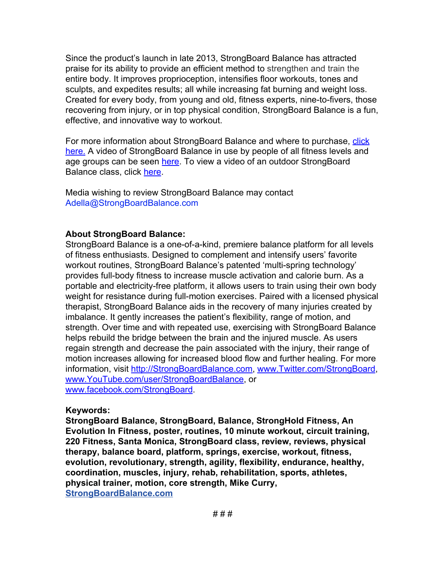Since the product's launch in late 2013, StrongBoard Balance has attracted praise for its ability to provide an efficient method to strengthen and train the entire body. It improves proprioception, intensifies floor workouts, tones and sculpts, and expedites results; all while increasing fat burning and weight loss. Created for every body, from young and old, fitness experts, nine-to-fivers, those recovering from injury, or in top physical condition, StrongBoard Balance is a fun, effective, and innovative way to workout.

For more information about StrongBoard Balance and where to purchase, [click](http://www.google.com/url?q=http%3A%2F%2Fstrongboardbalance.com%2F&sa=D&sntz=1&usg=AFQjCNFncwbiCb0Ht92GUSUYsAwJkMPafg) [here.](http://www.google.com/url?q=http%3A%2F%2Fstrongboardbalance.com%2F&sa=D&sntz=1&usg=AFQjCNFncwbiCb0Ht92GUSUYsAwJkMPafg) A video of StrongBoard Balance in use by people of all fitness levels and age groups can be seen [here.](http://www.youtube.com/watch?v=clI8dq2gCPw&feature=share&list=FLn7r7-2RwMrThW8FAZN_zxg&index=10) To view a video of an outdoor StrongBoard Balance class, click [here.](https://www.youtube.com/watch?v=3qBmMaBvXcw)

Media wishing to review StrongBoard Balance may contact [Adella@StrongBoardBalance.com](mailto:Adella@StrongBoardBalance.com)

## **About StrongBoard Balance:**

StrongBoard Balance is a one-of-a-kind, premiere balance platform for all levels of fitness enthusiasts. Designed to complement and intensify users' favorite workout routines, StrongBoard Balance's patented 'multi-spring technology' provides full-body fitness to increase muscle activation and calorie burn. As a portable and electricity-free platform, it allows users to train using their own body weight for resistance during full-motion exercises. Paired with a licensed physical therapist, StrongBoard Balance aids in the recovery of many injuries created by imbalance. It gently increases the patient's flexibility, range of motion, and strength. Over time and with repeated use, exercising with StrongBoard Balance helps rebuild the bridge between the brain and the injured muscle. As users regain strength and decrease the pain associated with the injury, their range of motion increases allowing for increased blood flow and further healing. For more information, visit [http://StrongBoardBalance.com,](http://www.google.com/url?q=http%3A%2F%2Ft.ymlp312.net%2Fywjsalaujqjmataemqatauwhem%2Fclick.php&sa=D&sntz=1&usg=AFQjCNEI3UY-ObpmMtcj4qb3H5WRx05Kzg) [www.Twitter.com/StrongBoard,](http://www.google.com/url?q=http%3A%2F%2Ft.ymlp312.net%2Fywjhazaujqjmaiaemqacauwhem%2Fclick.php&sa=D&sntz=1&usg=AFQjCNFO0_8_h_-41My05nxSv24raSakKA) [www.YouTube.com/user/StrongBoardBalance,](http://www.google.com/url?q=http%3A%2F%2Ft.ymlp312.net%2Fywjwaoaujqjmakaemqaaauwhem%2Fclick.php&sa=D&sntz=1&usg=AFQjCNGs0TYIcrs__2LYsQoP6UXBQZIO_g) or [www.facebook.com/StrongBoard.](http://www.google.com/url?q=http%3A%2F%2Ft.ymlp312.net%2Fywjqaxaujqjmaiaemqaiauwhem%2Fclick.php&sa=D&sntz=1&usg=AFQjCNE9KEc3-oQITG2Lw3GMCad7udrdgQ)

## **Keywords:**

**StrongBoard Balance, StrongBoard, Balance, StrongHold Fitness, An Evolution In Fitness, poster, routines, 10 minute workout, circuit training, 220 Fitness, Santa Monica, StrongBoard class, review, reviews, physical therapy, balance board, platform, springs, exercise, workout, fitness, evolution, revolutionary, strength, agility, flexibility, endurance, healthy, coordination, muscles, injury, rehab, rehabilitation, sports, athletes, physical trainer, motion, core strength, Mike Curry, [StrongBoardBalance.com](http://www.google.com/url?q=http%3A%2F%2Fstrongboardbalance.com%2F&sa=D&sntz=1&usg=AFQjCNFncwbiCb0Ht92GUSUYsAwJkMPafg)**